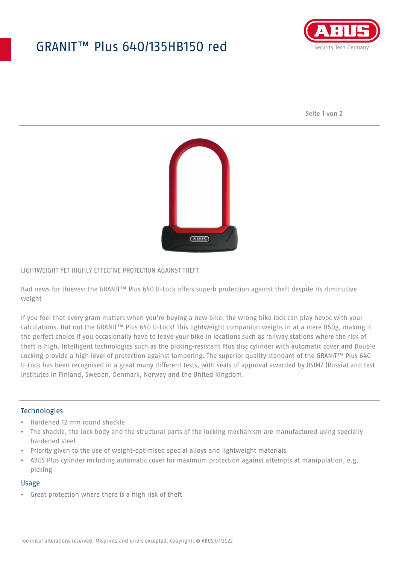## GRANIT™ Plus 640/135HB150 red



Seite 1 von 2



## LIGHTWEIGHT YET HIGHLY EFFECTIVE PROTECTION AGAINST THEFT

Bad news for thieves: the GRANIT™ Plus 640 U-Lock offers superb protection against theft despite its diminutive weight

If you feel that every gram matters when you're buying a new bike, the wrong bike lock can play havoc with your calculations. But not the GRANIT™ Plus 640 U-Lock! This lightweight companion weighs in at a mere 860g, making it the perfect choice if you occasionally have to leave your bike in locations such as railway stations where the risk of theft is high. Intelligent technologies such as the picking-resistant Plus disc cylinder with automatic cover and Double Locking provide a high level of protection against tampering. The superior quality standard of the GRANIT™ Plus 640 U-Lock has been recognised in a great many different tests, with seals of approval awarded by OSIMZ (Russia) and test institutes in Finland, Sweden, Denmark, Norway and the United Kingdom.

## **Technologies**

- Hardened 12 mm round shackle
- The shackle, the lock body and the structural parts of the locking mechanism are manufactured using specially hardened steel
- Priority given to the use of weight-optimised special alloys and lightweight materials
- ABUS Plus cylinder including automatic cover for maximum protection against attempts at manipulation, e.g. picking

#### Usage

• Great protection where there is a high risk of theft